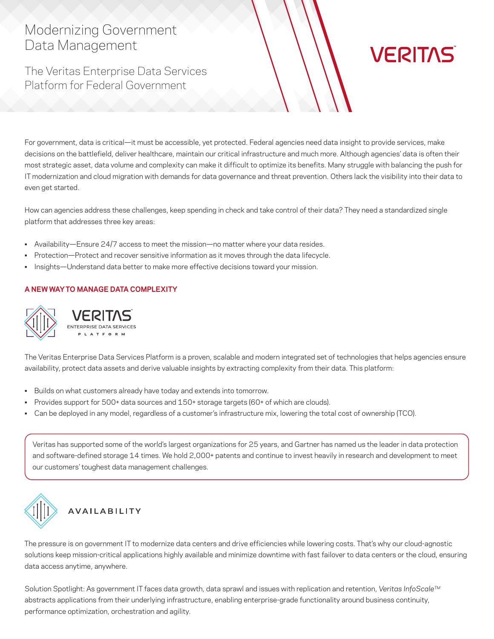# Modernizing Government Data Management

The Veritas Enterprise Data Services Platform for Federal Government

For government, data is critical—it must be accessible, yet protected. Federal agencies need data insight to provide services, make decisions on the battlefield, deliver healthcare, maintain our critical infrastructure and much more. Although agencies' data is often their most strategic asset, data volume and complexity can make it difficult to optimize its benefits. Many struggle with balancing the push for IT modernization and cloud migration with demands for data governance and threat prevention. Others lack the visibility into their data to even get started.

**VERITAS** 

How can agencies address these challenges, keep spending in check and take control of their data? They need a standardized single platform that addresses three key areas:

- Availability—Ensure 24/7 access to meet the mission—no matter where your data resides.
- Protection—Protect and recover sensitive information as it moves through the data lifecycle.
- Insights—Understand data better to make more effective decisions toward your mission.

### **A NEW WAY TO MANAGE DATA COMPLEXITY**



The Veritas Enterprise Data Services Platform is a proven, scalable and modern integrated set of technologies that helps agencies ensure availability, protect data assets and derive valuable insights by extracting complexity from their data. This platform:

- Builds on what customers already have today and extends into tomorrow.
- Provides support for 500+ data sources and 150+ storage targets (60+ of which are clouds).
- Can be deployed in any model, regardless of a customer's infrastructure mix, lowering the total cost of ownership (TCO).

Veritas has supported some of the world's largest organizations for 25 years, and Gartner has named us the leader in data protection and software-defined storage 14 times. We hold 2,000+ patents and continue to invest heavily in research and development to meet our customers' toughest data management challenges.



### **AVAILABILITY**

The pressure is on government IT to modernize data centers and drive efficiencies while lowering costs. That's why our cloud-agnostic solutions keep mission-critical applications highly available and minimize downtime with fast failover to data centers or the cloud, ensuring data access anytime, anywhere.

Solution Spotlight: As government IT faces data growth, data sprawl and issues with replication and retention, *Veritas InfoScaleTM* abstracts applications from their underlying infrastructure, enabling enterprise-grade functionality around business continuity, performance optimization, orchestration and agility.